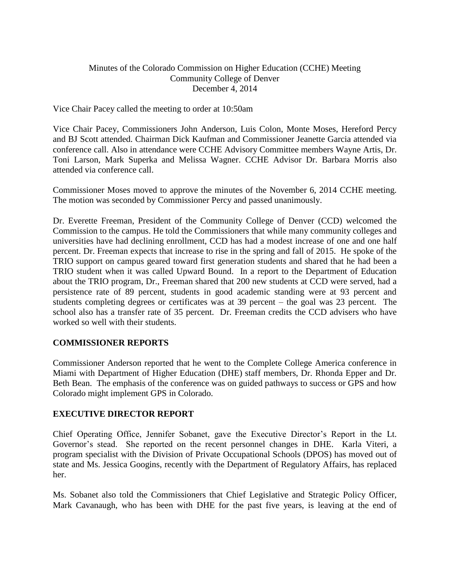# Minutes of the Colorado Commission on Higher Education (CCHE) Meeting Community College of Denver December 4, 2014

Vice Chair Pacey called the meeting to order at 10:50am

Vice Chair Pacey, Commissioners John Anderson, Luis Colon, Monte Moses, Hereford Percy and BJ Scott attended. Chairman Dick Kaufman and Commissioner Jeanette Garcia attended via conference call. Also in attendance were CCHE Advisory Committee members Wayne Artis, Dr. Toni Larson, Mark Superka and Melissa Wagner. CCHE Advisor Dr. Barbara Morris also attended via conference call.

Commissioner Moses moved to approve the minutes of the November 6, 2014 CCHE meeting. The motion was seconded by Commissioner Percy and passed unanimously.

Dr. Everette Freeman, President of the Community College of Denver (CCD) welcomed the Commission to the campus. He told the Commissioners that while many community colleges and universities have had declining enrollment, CCD has had a modest increase of one and one half percent. Dr. Freeman expects that increase to rise in the spring and fall of 2015. He spoke of the TRIO support on campus geared toward first generation students and shared that he had been a TRIO student when it was called Upward Bound. In a report to the Department of Education about the TRIO program, Dr., Freeman shared that 200 new students at CCD were served, had a persistence rate of 89 percent, students in good academic standing were at 93 percent and students completing degrees or certificates was at 39 percent – the goal was 23 percent. The school also has a transfer rate of 35 percent. Dr. Freeman credits the CCD advisers who have worked so well with their students.

#### **COMMISSIONER REPORTS**

Commissioner Anderson reported that he went to the Complete College America conference in Miami with Department of Higher Education (DHE) staff members, Dr. Rhonda Epper and Dr. Beth Bean. The emphasis of the conference was on guided pathways to success or GPS and how Colorado might implement GPS in Colorado.

#### **EXECUTIVE DIRECTOR REPORT**

Chief Operating Office, Jennifer Sobanet, gave the Executive Director's Report in the Lt. Governor's stead. She reported on the recent personnel changes in DHE. Karla Viteri, a program specialist with the Division of Private Occupational Schools (DPOS) has moved out of state and Ms. Jessica Googins, recently with the Department of Regulatory Affairs, has replaced her.

Ms. Sobanet also told the Commissioners that Chief Legislative and Strategic Policy Officer, Mark Cavanaugh, who has been with DHE for the past five years, is leaving at the end of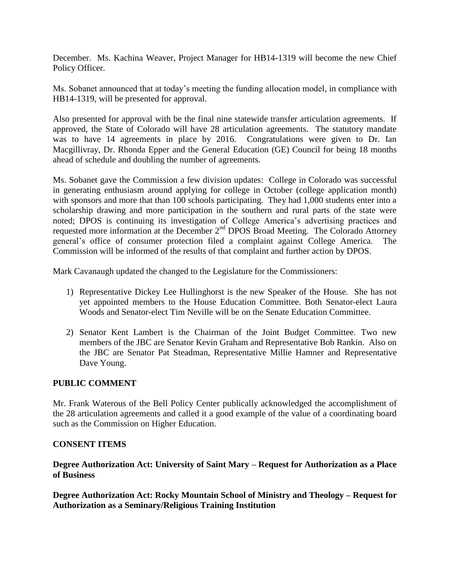December. Ms. Kachina Weaver, Project Manager for HB14-1319 will become the new Chief Policy Officer.

Ms. Sobanet announced that at today's meeting the funding allocation model, in compliance with HB14-1319, will be presented for approval.

Also presented for approval with be the final nine statewide transfer articulation agreements. If approved, the State of Colorado will have 28 articulation agreements. The statutory mandate was to have 14 agreements in place by 2016. Congratulations were given to Dr. Ian Macgillivray, Dr. Rhonda Epper and the General Education (GE) Council for being 18 months ahead of schedule and doubling the number of agreements.

Ms. Sobanet gave the Commission a few division updates: College in Colorado was successful in generating enthusiasm around applying for college in October (college application month) with sponsors and more that than 100 schools participating. They had 1,000 students enter into a scholarship drawing and more participation in the southern and rural parts of the state were noted; DPOS is continuing its investigation of College America's advertising practices and requested more information at the December 2nd DPOS Broad Meeting. The Colorado Attorney general's office of consumer protection filed a complaint against College America. The Commission will be informed of the results of that complaint and further action by DPOS.

Mark Cavanaugh updated the changed to the Legislature for the Commissioners:

- 1) Representative Dickey Lee Hullinghorst is the new Speaker of the House. She has not yet appointed members to the House Education Committee. Both Senator-elect Laura Woods and Senator-elect Tim Neville will be on the Senate Education Committee.
- 2) Senator Kent Lambert is the Chairman of the Joint Budget Committee. Two new members of the JBC are Senator Kevin Graham and Representative Bob Rankin. Also on the JBC are Senator Pat Steadman, Representative Millie Hamner and Representative Dave Young.

# **PUBLIC COMMENT**

Mr. Frank Waterous of the Bell Policy Center publically acknowledged the accomplishment of the 28 articulation agreements and called it a good example of the value of a coordinating board such as the Commission on Higher Education.

#### **CONSENT ITEMS**

**Degree Authorization Act: University of Saint Mary – Request for Authorization as a Place of Business** 

**Degree Authorization Act: Rocky Mountain School of Ministry and Theology – Request for Authorization as a Seminary/Religious Training Institution**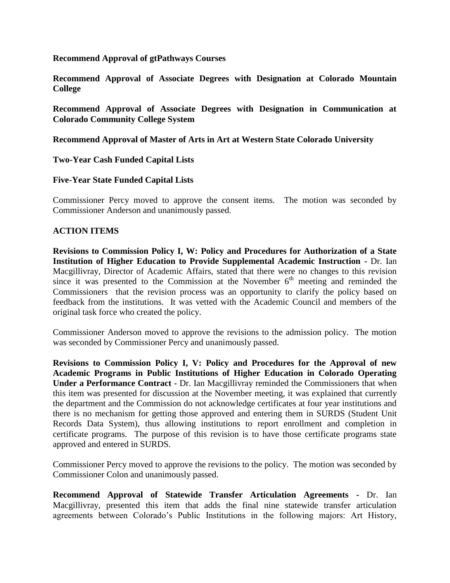#### **Recommend Approval of gtPathways Courses**

**Recommend Approval of Associate Degrees with Designation at Colorado Mountain College** 

**Recommend Approval of Associate Degrees with Designation in Communication at Colorado Community College System**

**Recommend Approval of Master of Arts in Art at Western State Colorado University**

### **Two-Year Cash Funded Capital Lists**

#### **Five-Year State Funded Capital Lists**

Commissioner Percy moved to approve the consent items. The motion was seconded by Commissioner Anderson and unanimously passed.

#### **ACTION ITEMS**

**Revisions to Commission Policy I, W: [Policy and Procedures for Authorization of a State](http://highered.colorado.gov/stats/track.asp?mtr=/Publications/Policies/Current/i-partw.pdf)  [Institution of Higher Education to Provide Supplemental Academic Instruction](http://highered.colorado.gov/stats/track.asp?mtr=/Publications/Policies/Current/i-partw.pdf) -** Dr. Ian Macgillivray, Director of Academic Affairs, stated that there were no changes to this revision since it was presented to the Commission at the November  $6<sup>th</sup>$  meeting and reminded the Commissioners that the revision process was an opportunity to clarify the policy based on feedback from the institutions. It was vetted with the Academic Council and members of the original task force who created the policy.

Commissioner Anderson moved to approve the revisions to the admission policy. The motion was seconded by Commissioner Percy and unanimously passed.

**Revisions to Commission Policy I, V: [Policy and Procedures for the Approval of new](http://highered.colorado.gov/stats/track.asp?mtr=/Publications/Policies/Current/i-partv.pdf)  [Academic Programs in Public Institutions of Higher Education in Colorado Operating](http://highered.colorado.gov/stats/track.asp?mtr=/Publications/Policies/Current/i-partv.pdf)  [Under a Performance Contract](http://highered.colorado.gov/stats/track.asp?mtr=/Publications/Policies/Current/i-partv.pdf) -** Dr. Ian Macgillivray reminded the Commissioners that when this item was presented for discussion at the November meeting, it was explained that currently the department and the Commission do not acknowledge certificates at four year institutions and there is no mechanism for getting those approved and entering them in SURDS (Student Unit Records Data System), thus allowing institutions to report enrollment and completion in certificate programs. The purpose of this revision is to have those certificate programs state approved and entered in SURDS.

Commissioner Percy moved to approve the revisions to the policy. The motion was seconded by Commissioner Colon and unanimously passed.

**Recommend Approval of Statewide Transfer Articulation Agreements -** Dr. Ian Macgillivray, presented this item that adds the final nine statewide transfer articulation agreements between Colorado's Public Institutions in the following majors: Art History,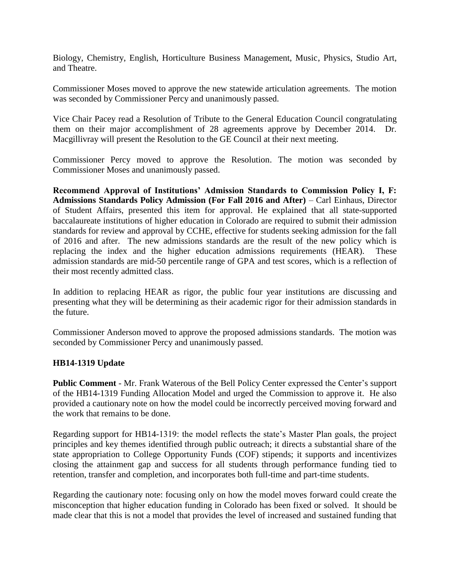Biology, Chemistry, English, Horticulture Business Management, Music, Physics, Studio Art, and Theatre.

Commissioner Moses moved to approve the new statewide articulation agreements. The motion was seconded by Commissioner Percy and unanimously passed.

Vice Chair Pacey read a Resolution of Tribute to the General Education Council congratulating them on their major accomplishment of 28 agreements approve by December 2014. Dr. Macgillivray will present the Resolution to the GE Council at their next meeting.

Commissioner Percy moved to approve the Resolution. The motion was seconded by Commissioner Moses and unanimously passed.

**Recommend Approval of Institutions' Admission Standards to Commission Policy I, F: Admissions Standards Policy Admission (For Fall 2016 and After)** – Carl Einhaus, Director of Student Affairs, presented this item for approval. He explained that all state-supported baccalaureate institutions of higher education in Colorado are required to submit their admission standards for review and approval by CCHE, effective for students seeking admission for the fall of 2016 and after. The new admissions standards are the result of the new policy which is replacing the index and the higher education admissions requirements (HEAR). These admission standards are mid-50 percentile range of GPA and test scores, which is a reflection of their most recently admitted class.

In addition to replacing HEAR as rigor, the public four year institutions are discussing and presenting what they will be determining as their academic rigor for their admission standards in the future.

Commissioner Anderson moved to approve the proposed admissions standards. The motion was seconded by Commissioner Percy and unanimously passed.

#### **HB14-1319 Update**

**Public Comment** - Mr. Frank Waterous of the Bell Policy Center expressed the Center's support of the HB14-1319 Funding Allocation Model and urged the Commission to approve it. He also provided a cautionary note on how the model could be incorrectly perceived moving forward and the work that remains to be done.

Regarding support for HB14-1319: the model reflects the state's Master Plan goals, the project principles and key themes identified through public outreach; it directs a substantial share of the state appropriation to College Opportunity Funds (COF) stipends; it supports and incentivizes closing the attainment gap and success for all students through performance funding tied to retention, transfer and completion, and incorporates both full-time and part-time students.

Regarding the cautionary note: focusing only on how the model moves forward could create the misconception that higher education funding in Colorado has been fixed or solved. It should be made clear that this is not a model that provides the level of increased and sustained funding that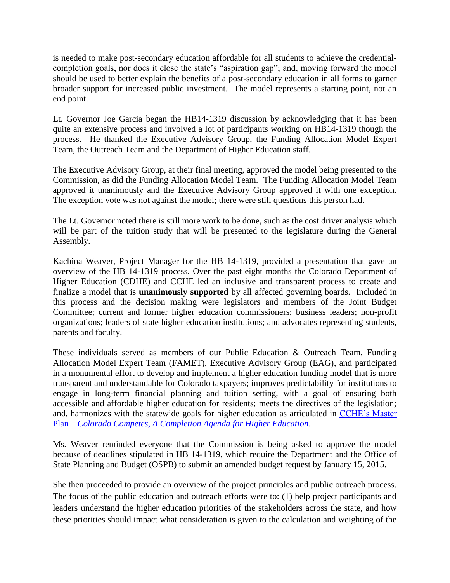is needed to make post-secondary education affordable for all students to achieve the credentialcompletion goals, nor does it close the state's "aspiration gap"; and, moving forward the model should be used to better explain the benefits of a post-secondary education in all forms to garner broader support for increased public investment. The model represents a starting point, not an end point.

Lt. Governor Joe Garcia began the HB14-1319 discussion by acknowledging that it has been quite an extensive process and involved a lot of participants working on HB14-1319 though the process. He thanked the Executive Advisory Group, the Funding Allocation Model Expert Team, the Outreach Team and the Department of Higher Education staff.

The Executive Advisory Group, at their final meeting, approved the model being presented to the Commission, as did the Funding Allocation Model Team. The Funding Allocation Model Team approved it unanimously and the Executive Advisory Group approved it with one exception. The exception vote was not against the model; there were still questions this person had.

The Lt. Governor noted there is still more work to be done, such as the cost driver analysis which will be part of the tuition study that will be presented to the legislature during the General Assembly.

Kachina Weaver, Project Manager for the HB 14-1319, provided a presentation that gave an overview of the HB 14-1319 process. Over the past eight months the Colorado Department of Higher Education (CDHE) and CCHE led an inclusive and transparent process to create and finalize a model that is **unanimously supported** by all affected governing boards. Included in this process and the decision making were legislators and members of the Joint Budget Committee; current and former higher education commissioners; business leaders; non-profit organizations; leaders of state higher education institutions; and advocates representing students, parents and faculty.

These individuals served as members of our Public Education & Outreach Team, Funding Allocation Model Expert Team (FAMET), Executive Advisory Group (EAG), and participated in a monumental effort to develop and implement a higher education funding model that is more transparent and understandable for Colorado taxpayers; improves predictability for institutions to engage in long-term financial planning and tuition setting, with a goal of ensuring both accessible and affordable higher education for residents; meets the directives of the legislation; and, harmonizes with the statewide goals for higher education as articulated in [CCHE's Master](http://highered.colorado.gov/Publications/General/StrategicPlanning/MasterPlan2012/Master_Plan_Final.pdf)  Plan – *[Colorado Competes, A Completion Agenda for Higher Education](http://highered.colorado.gov/Publications/General/StrategicPlanning/MasterPlan2012/Master_Plan_Final.pdf)*.

Ms. Weaver reminded everyone that the Commission is being asked to approve the model because of deadlines stipulated in HB 14-1319, which require the Department and the Office of State Planning and Budget (OSPB) to submit an amended budget request by January 15, 2015.

She then proceeded to provide an overview of the project principles and public outreach process. The focus of the public education and outreach efforts were to: (1) help project participants and leaders understand the higher education priorities of the stakeholders across the state, and how these priorities should impact what consideration is given to the calculation and weighting of the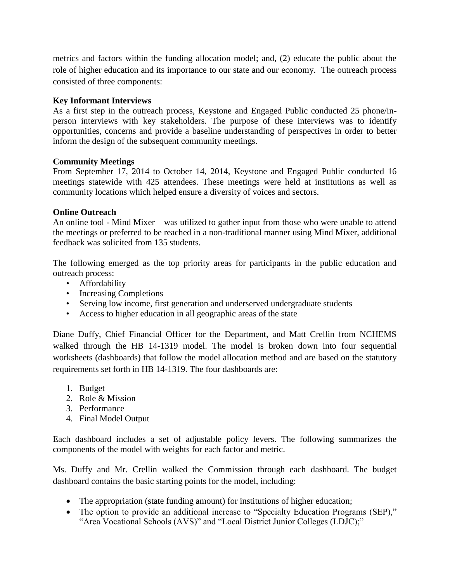metrics and factors within the funding allocation model; and, (2) educate the public about the role of higher education and its importance to our state and our economy. The outreach process consisted of three components:

# **Key Informant Interviews**

As a first step in the outreach process, Keystone and Engaged Public conducted 25 phone/inperson interviews with key stakeholders. The purpose of these interviews was to identify opportunities, concerns and provide a baseline understanding of perspectives in order to better inform the design of the subsequent community meetings.

### **Community Meetings**

From September 17, 2014 to October 14, 2014, Keystone and Engaged Public conducted 16 meetings statewide with 425 attendees. These meetings were held at institutions as well as community locations which helped ensure a diversity of voices and sectors.

### **Online Outreach**

An online tool - Mind Mixer – was utilized to gather input from those who were unable to attend the meetings or preferred to be reached in a non-traditional manner using Mind Mixer, additional feedback was solicited from 135 students.

The following emerged as the top priority areas for participants in the public education and outreach process:

- Affordability
- Increasing Completions
- Serving low income, first generation and underserved undergraduate students
- Access to higher education in all geographic areas of the state

Diane Duffy, Chief Financial Officer for the Department, and Matt Crellin from NCHEMS walked through the HB 14-1319 model. The model is broken down into four sequential worksheets (dashboards) that follow the model allocation method and are based on the statutory requirements set forth in HB 14-1319. The four dashboards are:

- 1. Budget
- 2. Role & Mission
- 3. Performance
- 4. Final Model Output

Each dashboard includes a set of adjustable policy levers. The following summarizes the components of the model with weights for each factor and metric.

Ms. Duffy and Mr. Crellin walked the Commission through each dashboard. The budget dashboard contains the basic starting points for the model, including:

- The appropriation (state funding amount) for institutions of higher education;
- The option to provide an additional increase to "Specialty Education Programs (SEP)," "Area Vocational Schools (AVS)" and "Local District Junior Colleges (LDJC);"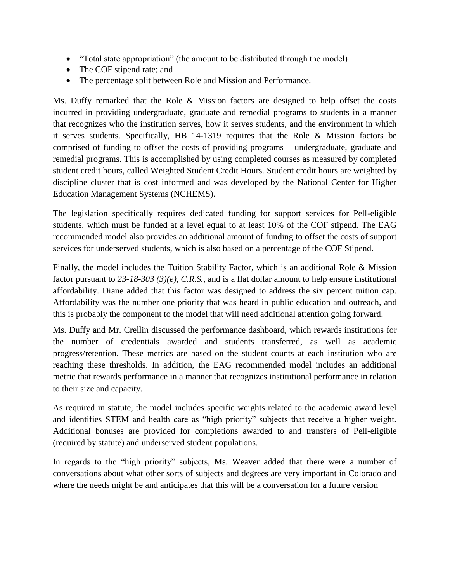- "Total state appropriation" (the amount to be distributed through the model)
- The COF stipend rate; and
- The percentage split between Role and Mission and Performance.

Ms. Duffy remarked that the Role & Mission factors are designed to help offset the costs incurred in providing undergraduate, graduate and remedial programs to students in a manner that recognizes who the institution serves, how it serves students, and the environment in which it serves students. Specifically, HB 14-1319 requires that the Role & Mission factors be comprised of funding to offset the costs of providing programs – undergraduate, graduate and remedial programs. This is accomplished by using completed courses as measured by completed student credit hours, called Weighted Student Credit Hours. Student credit hours are weighted by discipline cluster that is cost informed and was developed by the National Center for Higher Education Management Systems (NCHEMS).

The legislation specifically requires dedicated funding for support services for Pell-eligible students, which must be funded at a level equal to at least 10% of the COF stipend. The EAG recommended model also provides an additional amount of funding to offset the costs of support services for underserved students, which is also based on a percentage of the COF Stipend.

Finally, the model includes the Tuition Stability Factor, which is an additional Role & Mission factor pursuant to *23-18-303 (3)(e), C.R.S.,* and is a flat dollar amount to help ensure institutional affordability. Diane added that this factor was designed to address the six percent tuition cap. Affordability was the number one priority that was heard in public education and outreach, and this is probably the component to the model that will need additional attention going forward.

Ms. Duffy and Mr. Crellin discussed the performance dashboard, which rewards institutions for the number of credentials awarded and students transferred, as well as academic progress/retention. These metrics are based on the student counts at each institution who are reaching these thresholds. In addition, the EAG recommended model includes an additional metric that rewards performance in a manner that recognizes institutional performance in relation to their size and capacity.

As required in statute, the model includes specific weights related to the academic award level and identifies STEM and health care as "high priority" subjects that receive a higher weight. Additional bonuses are provided for completions awarded to and transfers of Pell-eligible (required by statute) and underserved student populations.

In regards to the "high priority" subjects, Ms. Weaver added that there were a number of conversations about what other sorts of subjects and degrees are very important in Colorado and where the needs might be and anticipates that this will be a conversation for a future version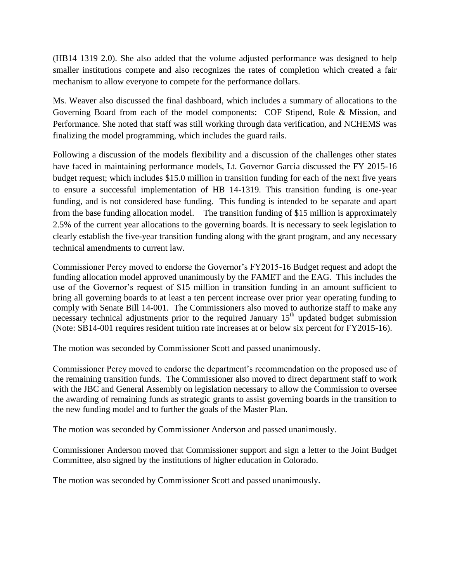(HB14 1319 2.0). She also added that the volume adjusted performance was designed to help smaller institutions compete and also recognizes the rates of completion which created a fair mechanism to allow everyone to compete for the performance dollars.

Ms. Weaver also discussed the final dashboard, which includes a summary of allocations to the Governing Board from each of the model components: COF Stipend, Role & Mission, and Performance. She noted that staff was still working through data verification, and NCHEMS was finalizing the model programming, which includes the guard rails.

Following a discussion of the models flexibility and a discussion of the challenges other states have faced in maintaining performance models, Lt. Governor Garcia discussed the FY 2015-16 budget request; which includes \$15.0 million in transition funding for each of the next five years to ensure a successful implementation of HB 14-1319. This transition funding is one-year funding, and is not considered base funding. This funding is intended to be separate and apart from the base funding allocation model. The transition funding of \$15 million is approximately 2.5% of the current year allocations to the governing boards. It is necessary to seek legislation to clearly establish the five-year transition funding along with the grant program, and any necessary technical amendments to current law.

Commissioner Percy moved to endorse the Governor's FY2015-16 Budget request and adopt the funding allocation model approved unanimously by the FAMET and the EAG. This includes the use of the Governor's request of \$15 million in transition funding in an amount sufficient to bring all governing boards to at least a ten percent increase over prior year operating funding to comply with Senate Bill 14-001. The Commissioners also moved to authorize staff to make any necessary technical adjustments prior to the required January  $15<sup>th</sup>$  updated budget submission (Note: SB14-001 requires resident tuition rate increases at or below six percent for FY2015-16).

The motion was seconded by Commissioner Scott and passed unanimously.

Commissioner Percy moved to endorse the department's recommendation on the proposed use of the remaining transition funds. The Commissioner also moved to direct department staff to work with the JBC and General Assembly on legislation necessary to allow the Commission to oversee the awarding of remaining funds as strategic grants to assist governing boards in the transition to the new funding model and to further the goals of the Master Plan.

The motion was seconded by Commissioner Anderson and passed unanimously.

Commissioner Anderson moved that Commissioner support and sign a letter to the Joint Budget Committee, also signed by the institutions of higher education in Colorado.

The motion was seconded by Commissioner Scott and passed unanimously.